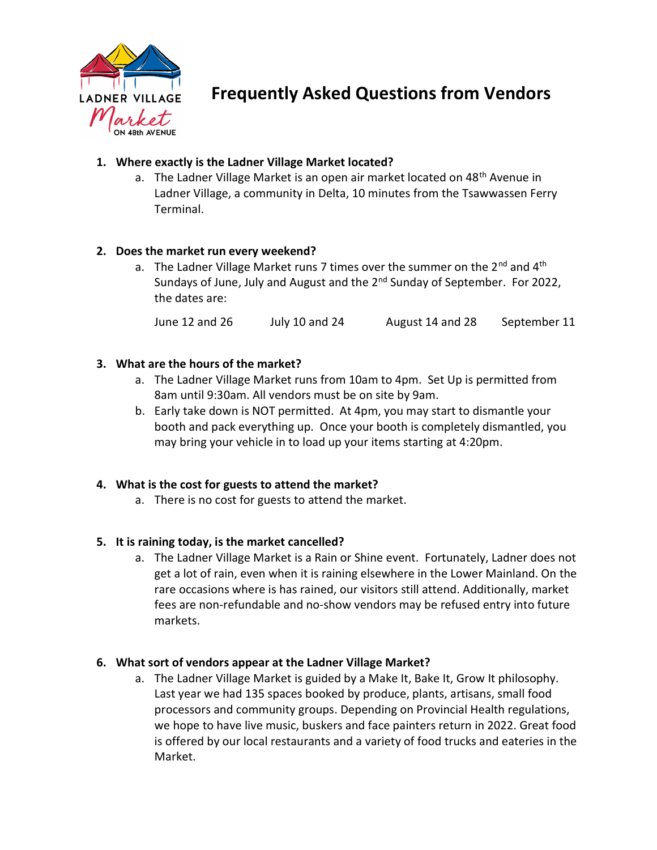

Frequently Asked Questions from Vendors

# 1. Where exactly is the Ladner Village Market located?

a. The Ladner Village Market is an open air market located on 48<sup>th</sup> Avenue in Ladner Village, a community in Delta, 10 minutes from the Tsawwassen Ferry Terminal.

## 2. Does the market run every weekend?

a. The Ladner Village Market runs 7 times over the summer on the  $2^{nd}$  and  $4^{th}$ Sundays of June, July and August and the 2<sup>nd</sup> Sunday of September. For 2022, the dates are:

June 12 and 26 July 10 and 24 August 14 and 28 September 11

## 3. What are the hours of the market?

- a. The Ladner Village Market runs from 10am to 4pm. Set Up is permitted from 8am until 9:30am. All vendors must be on site by 9am.
- b. Early take down is NOT permitted. At 4pm, you may start to dismantle your booth and pack everything up. Once your booth is completely dismantled, you may bring your vehicle in to load up your items starting at 4:20pm.

#### 4. What is the cost for guests to attend the market?

a. There is no cost for guests to attend the market.

#### 5. It is raining today, is the market cancelled?

a. The Ladner Village Market is a Rain or Shine event. Fortunately, Ladner does not get a lot of rain, even when it is raining elsewhere in the Lower Mainland. On the rare occasions where is has rained, our visitors still attend. Additionally, market fees are non-refundable and no-show vendors may be refused entry into future markets.

#### 6. What sort of vendors appear at the Ladner Village Market?

a. The Ladner Village Market is guided by a Make It, Bake It, Grow It philosophy. Last year we had 135 spaces booked by produce, plants, artisans, small food processors and community groups. Depending on Provincial Health regulations, we hope to have live music, buskers and face painters return in 2022. Great food is offered by our local restaurants and a variety of food trucks and eateries in the Market.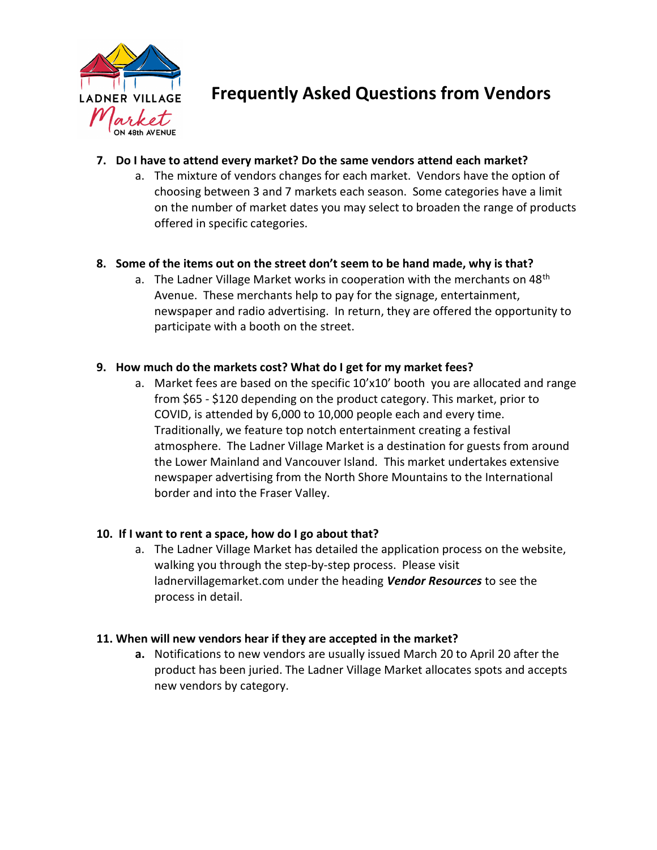

# Frequently Asked Questions from Vendors

## 7. Do I have to attend every market? Do the same vendors attend each market?

a. The mixture of vendors changes for each market. Vendors have the option of choosing between 3 and 7 markets each season. Some categories have a limit on the number of market dates you may select to broaden the range of products offered in specific categories.

## 8. Some of the items out on the street don't seem to be hand made, why is that?

a. The Ladner Village Market works in cooperation with the merchants on  $48<sup>th</sup>$ Avenue. These merchants help to pay for the signage, entertainment, newspaper and radio advertising. In return, they are offered the opportunity to participate with a booth on the street.

#### 9. How much do the markets cost? What do I get for my market fees?

a. Market fees are based on the specific 10'x10' booth you are allocated and range from \$65 - \$120 depending on the product category. This market, prior to COVID, is attended by 6,000 to 10,000 people each and every time. Traditionally, we feature top notch entertainment creating a festival atmosphere. The Ladner Village Market is a destination for guests from around the Lower Mainland and Vancouver Island. This market undertakes extensive newspaper advertising from the North Shore Mountains to the International border and into the Fraser Valley.

#### 10. If I want to rent a space, how do I go about that?

a. The Ladner Village Market has detailed the application process on the website, walking you through the step-by-step process. Please visit ladnervillagemarket.com under the heading *Vendor Resources* to see the process in detail.

#### 11. When will new vendors hear if they are accepted in the market?

a. Notifications to new vendors are usually issued March 20 to April 20 after the product has been juried. The Ladner Village Market allocates spots and accepts new vendors by category.